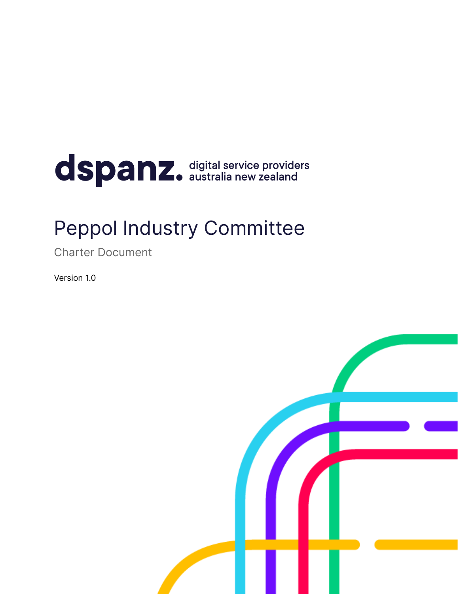# dspanz. digital service providers

## Peppol Industry Committee

Charter Document

Version 1.0

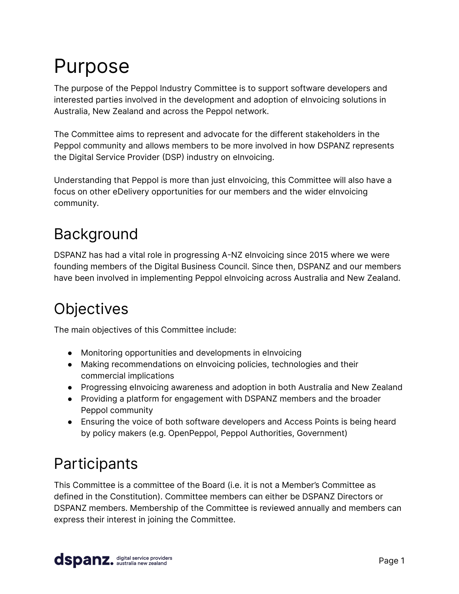# Purpose

The purpose of the Peppol Industry Committee is to support software developers and interested parties involved in the development and adoption of eInvoicing solutions in Australia, New Zealand and across the Peppol network.

The Committee aims to represent and advocate for the different stakeholders in the Peppol community and allows members to be more involved in how DSPANZ represents the Digital Service Provider (DSP) industry on eInvoicing.

Understanding that Peppol is more than just eInvoicing, this Committee will also have a focus on other eDelivery opportunities for our members and the wider eInvoicing community.

## Background

DSPANZ has had a vital role in progressing A-NZ eInvoicing since 2015 where we were founding members of the Digital Business Council. Since then, DSPANZ and our members have been involved in implementing Peppol eInvoicing across Australia and New Zealand.

## **Objectives**

The main objectives of this Committee include:

- Monitoring opportunities and developments in elnvoicing
- Making recommendations on eInvoicing policies, technologies and their commercial implications
- Progressing eInvoicing awareness and adoption in both Australia and New Zealand
- Providing a platform for engagement with DSPANZ members and the broader Peppol community
- Ensuring the voice of both software developers and Access Points is being heard by policy makers (e.g. OpenPeppol, Peppol Authorities, Government)

## Participants

This Committee is a committee of the Board (i.e. it is not a Member's Committee as defined in the Constitution). Committee members can either be DSPANZ Directors or DSPANZ members. Membership of the Committee is reviewed annually and members can express their interest in joining the Committee.

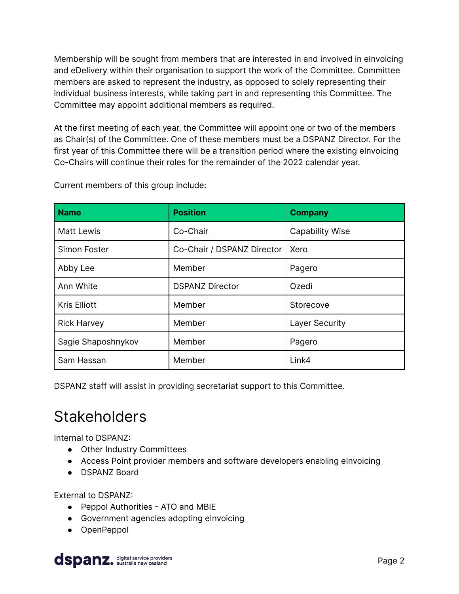Membership will be sought from members that are interested in and involved in eInvoicing and eDelivery within their organisation to support the work of the Committee. Committee members are asked to represent the industry, as opposed to solely representing their individual business interests, while taking part in and representing this Committee. The Committee may appoint additional members as required.

At the first meeting of each year, the Committee will appoint one or two of the members as Chair(s) of the Committee. One of these members must be a DSPANZ Director. For the first year of this Committee there will be a transition period where the existing elnvoicing Co-Chairs will continue their roles for the remainder of the 2022 calendar year.

| <b>Name</b>         | <b>Position</b>            | <b>Company</b>         |
|---------------------|----------------------------|------------------------|
| <b>Matt Lewis</b>   | Co-Chair                   | <b>Capability Wise</b> |
| Simon Foster        | Co-Chair / DSPANZ Director | Xero                   |
| Abby Lee            | Member                     | Pagero                 |
| Ann White           | <b>DSPANZ Director</b>     | Ozedi                  |
| <b>Kris Elliott</b> | Member                     | Storecove              |
| <b>Rick Harvey</b>  | Member                     | Layer Security         |
| Sagie Shaposhnykov  | Member                     | Pagero                 |
| Sam Hassan          | Member                     | Link4                  |

Current members of this group include:

DSPANZ staff will assist in providing secretariat support to this Committee.

#### **Stakeholders**

Internal to DSPANZ:

- Other Industry Committees
- Access Point provider members and software developers enabling elnvoicing
- DSPANZ Board

External to DSPANZ:

- Peppol Authorities ATO and MBIE
- Government agencies adopting eInvoicing
- OpenPeppol